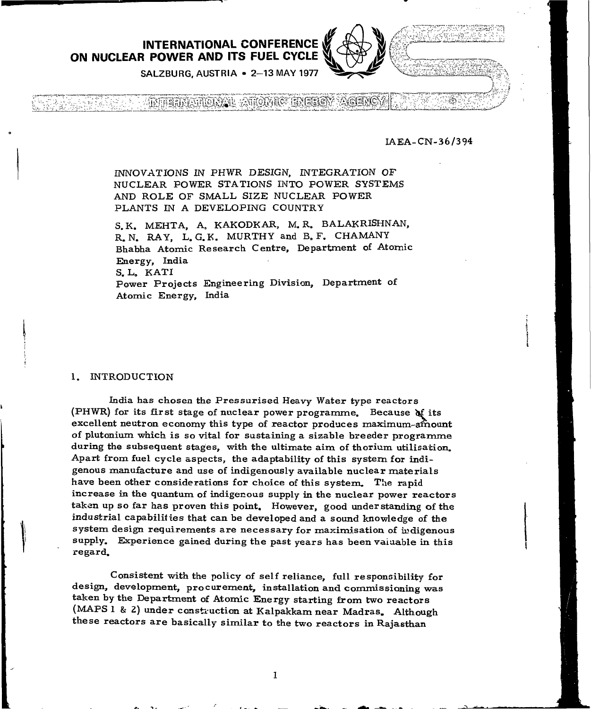**INTERNATIONAL CONFERENCE ON NUCLEAR POWER AND ITS FUEL CYCLE**



**INTERFERIORS & STOWIC ENERGY ACENC** 

IAEA-CN-36/394

j.

INNOVATIONS IN PHWR DESIGN, INTEGRATION OF NUCLEAR POWER STATIONS INTO POWER SYSTEMS AND ROLE OF SMALL SIZE NUCLEAR POWER PLANTS IN A DEVELOPING COUNTRY

S.K. MEHTA, A. KAKODKAR, M. R. BALAKRISHNAN, R. N. RAY, L. G. K. MURTHY and B. F. CHAMANY Bhabha Atomic Research Centre, Department of Atomic Energy, India S.L. KATI Power Projects Engineering Division, Department of Atomic Energy, India

#### 1. INTRODUCTION

India has chosen the Pressurised Heavy Water type reactors (PHWR) for its first stage of nuclear power programme. Because  $\mathbf{M}$  its excellent neutron economy this type of reactor produces maximum-amount of plutonium which is so vital for sustaining a sizable breeder programme during the subsequent stages, with the ultimate aim of thorium utilisation. Apart from fuel cycle aspects, the adaptability of this system for indigenous manufacture and use of indigenously available nuclear materials have been other considerations for choice of this system. The rapid increase in the quantum of indigenous supply in the nuclear power reactors taken up so far has proven this point. However, good understanding of the industrial capabilities that can be developed and a sound knowledge of the system design requirements are necessary for maximisation of indigenous supply. Experience gained during the past years has been valuable in this regard.

Consistent with the policy of self reliance, full responsibility for design, development, procurement, installation and commissioning was taken by the Department of Atomic Energy starting from two reactors (MAPS 1 & 2) under construction at Kalpakkam near Madras. Although these reactors are basically similar to the two reactors in Rajasthan

 $\mathbf{I}$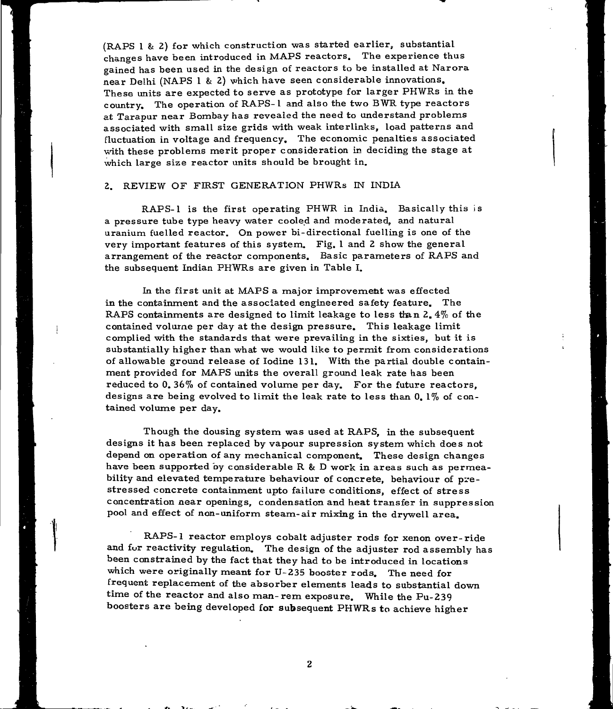(RAPS 1 & 2) for which construction was started earlier, substantial changes have been introduced in MAPS reactors. The experience thus gained has been used in the design of reactors to be installed at Narora near Delhi (NAPS 1 & 2) which have seen considerable innovations. These units are expected to serve as prototype for larger PHWRs in the country. The operation of RAPS-1 and also the two BWR type reactors at Tarapur near Bombay has reveaied the need to understand problems associated with small size grids with weak interlinks, load patterns and fluctuation in voltage and frequency. The economic penalties associated with these problems merit proper consideration in deciding the stage at which large size reactor units should be brought in.

### 2. REVIEW OF FIRST GENERATION PHWRs IN INDIA

RAPS-1 is the first operating PHWR in India. Basically this is a pressure tube type heavy water cooled and moderated, and natural uranium fuelled reactor. On power bi-directional fuelling is one of the very important features of this system. Fig. 1 and 2 show the general arrangement of the reactor components. Basic parameters of RAPS and the subsequent Indian PHWRs are given in Table I.

In the first unit at MAPS a major improvement was effected in the containment and the associated engineered safety feature. The RAPS containments are designed to limit leakage to less than 2. 4% of the contained volume per day at the design pressure. This leakage limit complied with the standards that were prevailing in the sixties, but it is substantially higher than what we would like to permit from considerations of allowable ground release of Iodine 131. With the partial double containment provided for MAPS units the overall ground leak rate has been reduced to 0. 36% of contained volume per day. For the future reactors, designs are being evolved to limit the leak rate to less than  $0.1\%$  of contained volume per day.

Though the dousing system was used at RAPS, in the subsequent designs it has been replaced by vapour supression system which does not depend on operation of any mechanical component. These design changes have been supported by considerable R & D work in areas such as permeability and elevated temperature behaviour of concrete, behaviour of prestressed concrete containment upto failure conditions, effect of stress concentration near openings, condensation and heat transfer in suppression pool and effect of non-uniform steam-air mixing in the drywell area.

RAPS-1 reactor employs cobalt adjuster rods for xenon over-ride and fur reactivity regulation. The design of the adjuster rod assembly has been constrained by the fact that they had to be introduced in locations which were originally meant for U-235 booster rods. The need for frequent replacement of the absorber elements leads to substantial down time of the reactor and also man-rem exposure. While the Pu-239 boosters are being developed for subsequent PHWRs to achieve higher

#«. \_ !» \* "\_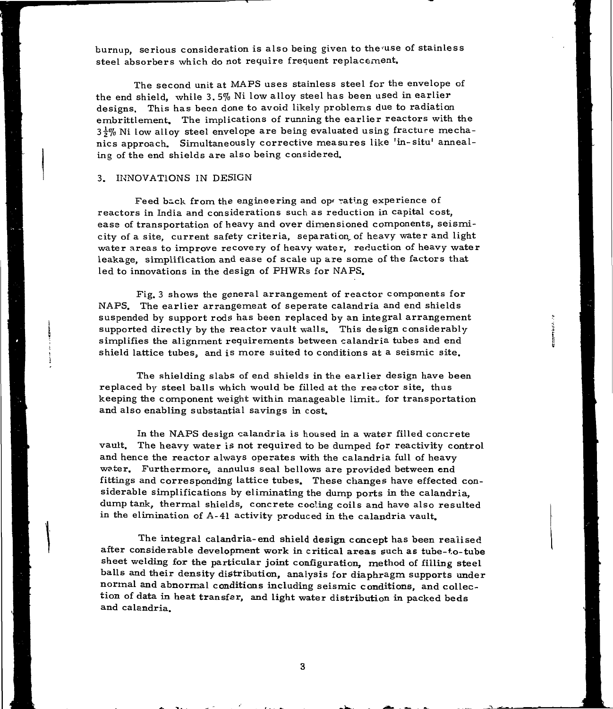burnup, serious consideration is also being given to the'use of stainless steel absorbers which do not require frequent replacement.

The second unit at MAPS uses stainless steel for the envelope of the end shield, while 3. 5% Ni low alloy steel has been used in earlier designs. This has been done to avoid likely problems due to radiation embrittlement. The implications of running the earlier reactors with the  $3\frac{1}{2}\%$  Ni low alloy steel envelope are being evaluated using fracture mechanics approach. Simultaneously corrective measures like 'in-situ' annealing of the end shields are also being considered.

#### 3. INNOVATIONS IN DESIGN

Feed back from the engineering and operating experience of reactors in India and considerations such as reduction in capital cost, ease of transportation of heavy and over dimensioned components, seismicity of a site, current safety criteria, separation, of heavy water and light water areas to improve recovery of heavy water, reduction of heavy water leakage, simplification and ease of scale up are some of the factors that led to innovations in the design of PHWRs for NAPS.

Fig. 3 shows the general arrangement of reactor components for NAPS. The earlier arrangement of seperate calandria and end shields suspended by support rods has been replaced by an integral arrangement supported directly by the reactor vault walls. This design considerably simplifies the alignment requirements between calandria tubes and end shield lattice tubes, and is more suited to conditions at a seismic site.

The shielding slabs of end shields in the earlier design have been replaced by steel balls which would be filled at the reactor site, thus keeping the component weight within manageable limit. for transportation and also enabling substantial savings in cost.

In the NAPS design calandria is housed in a water filled concrete vault. The heavy water is not required to be dumped for reactivity control and hence the reactor always operates with the calandria full of heavy water. Furthermore, annulus seal bellows are provided between end fittings and corresponding lattice tubes. These changes have effected considerable simplifications by eliminating the dump ports in the calandria, dump tank, thermal shields, concrete coding coils and have also resulted in the elimination of A-41 activity produced in the calandria vault.

The integral calandria-end shield design concept has been realised after considerable development work in critical areas such as tube-to-tube sheet welding for the particular joint configuration, method of filling steel balls and their density distribution, analysis for diaphragm supports under normal and abnormal conditions including seismic conditions, and collection of data in heat transfer, and light water distribution in packed beds and calandria.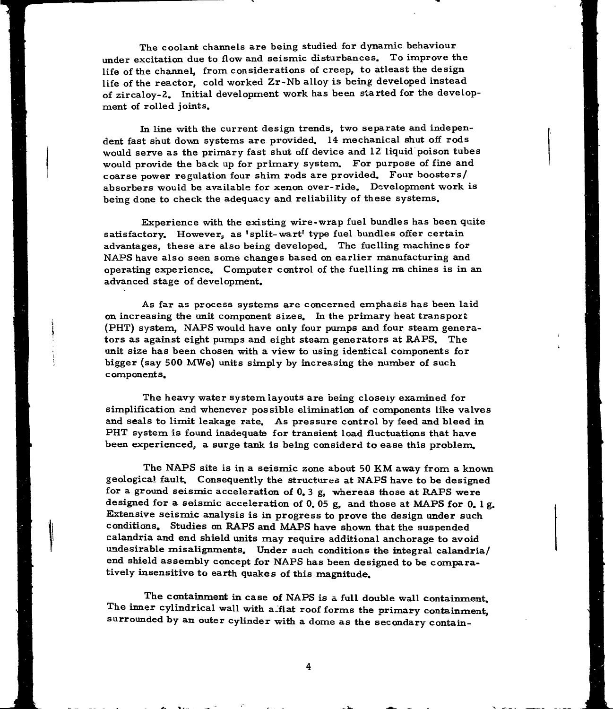The coolant channels are being studied for dynamic behaviour under excitation due to flow and seismic disturbances. To improve the life of the channel, from considerations of creep, to atleast the design life of the reactor, cold worked Zr-Nb alloy is being developed instead of zircaloy-2. Initial development work has been started for the development of rolled joints.

In line with the current design trends, two separate and independent fast shut down systems are provided. 14 mechanical shut off rods would serve as the primary fast shut off device and 12 liquid poison tubes would provide the back up for primary system. For purpose of fine and coarse power regulation four shim rods are provided. Four boosters/ absorbers would be available for xenon over-ride. Development work is being done to check the adequacy and reliability of these systems.

Experience with the existing wire-wrap fuel bundles has been quite satisfactory. However, as 'split-wart' type fuel bundles offer certain advantages, these are also being developed. The fuelling machines for NAPS have also seen some changes based on earlier manufacturing and operating experience. Computer control of the fuelling  $m$  chines is in an advanced stage of development.

As far as process systems are concerned emphasis has been laid on increasing the unit component sizes. In the primary heat transport (PHT) system, NAPS would have only four pumps and four steam generators as against eight pumps and eight steam generators at RAPS. The unit size has been chosen with a view to using identical components for bigger (say 500 MWe) units simply by increasing the number of such components.

The heavy water system layouts are being closely examined for simplification and whenever possible elimination of components like valves and seals to limit leakage rate. As pressure control by feed and bleed in PHT system is found inadequate for transient load fluctuations that have been experienced, a surge tank is being considerd to ease this problem.

The NAPS site is in a seismic zone about 50 KM away from a known geological fault. Consequently the structures at NAPS have to be designed for a ground seismic acceleration of 0. 3 g, whereas those at RAPS were designed for a seismic acceleration of 0. 05 g, and those at MAPS for 0. 1 g. Extensive seismic analysis is in progress to prove the design under such conditions. Studies on RAPS and MAPS have shown that the suspended calandria and end shield units may require additional anchorage to avoid undesirable misalignments. Under such conditions the integral calandria/ end shield assembly concept for NAPS has been designed to be comparatively insensitive to earth quakes of this magnitude.

The containment in case of NAPS is a full double wall containment. The inner cylindrical wall with a flat roof forms the primary containment, surrounded by an outer cylinder with a dome as the secondary contain-

4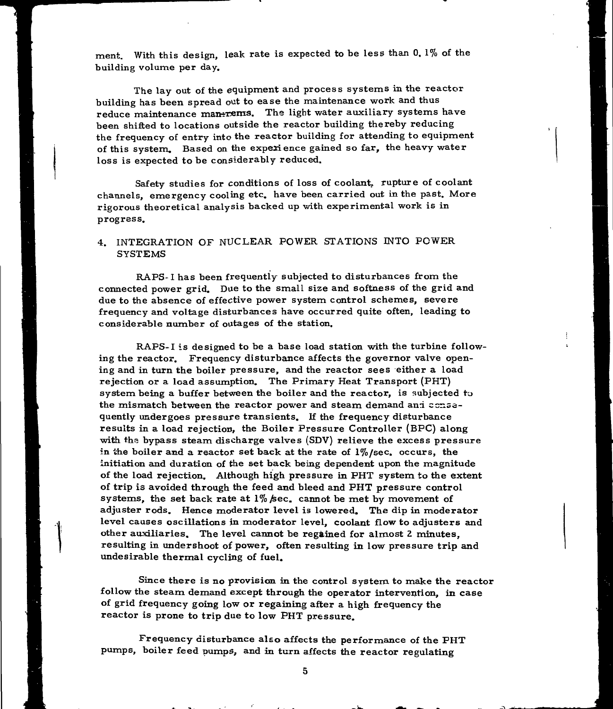ment. With this design, leak rate is expected to be less than 0. 1% of the building volume per day.

The lay out of the equipment and process systems in the reactor building has been spread out to ease the maintenance work and thus reduce maintenance man-rems. The light water auxiliary systems have been shifted to locations outside the reactor building thereby reducing the frequency of entry into the reactor building for attending to equipment of this system. Based on the experience gained so far, the heavy water loss is expected to be considerably reduced.

Safety studies for conditions of loss of coolant, rupture of coolant channels, emergency cooling etc. have been carried out in the past. More rigorous theoretical analysis backed up with experimental work is in progress.

## 4. INTEGRATION OF NUCLEAR POWER STATIONS INTO POWER SYSTEMS

RAPS-1 has been frequently subjected to disturbances from the connected power grid. Due to the small size and softness of the grid and due to the absence of effective power system control schemes, severe frequency and voltage disturbances have occurred quite often, leading to considerable number of outages of the station.

RAPS-1 is designed to be a base load station with the turbine following the reactor. Frequency disturbance affects the governor valve opening and in turn the boiler pressure, and the reactor sees either a load rejection or a load assumption. The Primary Heat Transport (PHT) system being a buffer between the boiler and the reactor, is subjected to the mismatch between the reactor power and steam demand and consequently undergoes pressure transients. If the frequency disturbance results in a load rejection, the Boiler Pressure Controller (BPC) along with the bypass steam discharge valves (SDV) relieve the excess pressure in the boiler and a reactor set back at the rate of  $1\%$ /sec. occurs, the initiation and duration of the set back being dependent upon the magnitude of the load rejection. Although high pressure in PHT system to the extent of trip is avoided through the feed and bleed and PHT pressure control systems, the set back rate at *1% fsec.* cannot be met by movement of adjuster rods. Hence moderator level is lowered. The dip in moderator level causes oscillations in moderator level, coolant flow to adjusters and other auxiliaries. The level cannot be regained for almost 2 minutes, resulting in undershoot of power, often resulting in low pressure trip and undesirable thermal cycling of fuel.

Since there is no provision in the control system to make the reactor follow the steam demand except through the operator intervention, in case of grid frequency going low or regaining after a high frequency the reactor is prone to trip due to low PHT pressure.

Frequency disturbance also affects the performance of the PHT pumps, boiler feed pumps, and in turn affects the reactor regulating

 $5\phantom{.0}$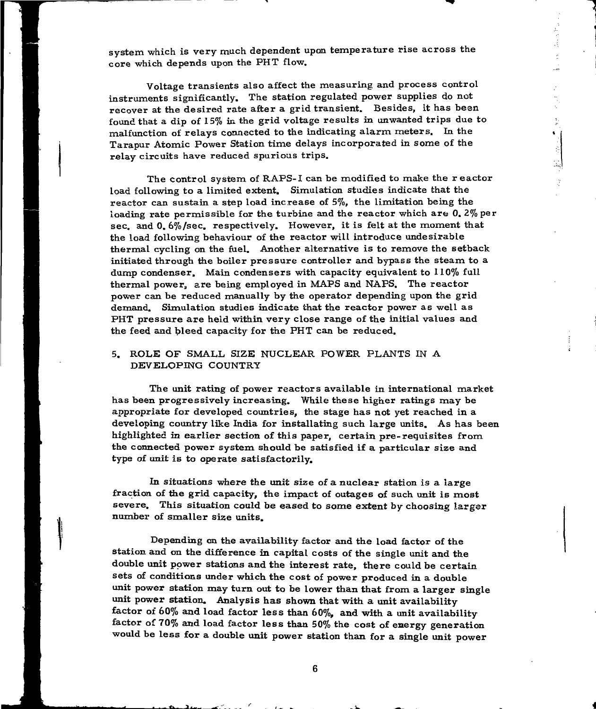system which is very much dependent upon temperature rise across the core which depends upon the PHT flow.

Voltage transients also affect the measuring and process control instruments significantly. The station regulated power supplies do not recover at the desired rate after a grid transient. Besides, it has been found that a dip of 15% in the grid voltage results in unwanted trips due to malfunction of relays connected to the indicating alarm meters. In the Tarapur Atomic Power Station time delays incorporated in some of the relay circuits have reduced spurious trips.

۰ì, ╡ 뉣

The control system of RAPS-1 can be modified to make the r eactor load following to a limited extent. Simulation studies indicate that the reactor can sustain a step load increase of 5%, the limitation being the loading rate permissible for the turbine and the reactor which are 0. 2% per sec. and 0. 6%/sec. respectively. However, it is felt at the moment that the load following behaviour of the reactor will introduce undesirable thermal cycling on the fuel. Another alternative is to remove the setback initiated through the boiler pressure controller and bypass the steam to a dump condenser, Main condensers with capacity equivalent to 110% full thermal power, are being employed in MAPS and NAPS. The reactor power can be reduced manually by the operator depending upon the grid demand. Simulation studies indicate that the reactor power as well as PHT pressure are held within very close range of the initial values and the feed and bleed capacity for the PHT can be reduced.

## 5. ROLE OF SMALL SIZE NUCLEAR POWER PLANTS IN A DEVELOPING COUNTRY

The unit rating of power reactors available in international market has been progressively increasing. While these higher ratings may be appropriate for developed countries, the stage has not yet reached in a developing country like India for installating such large units. As has been highlighted in earlier section of this paper, certain pre-requisites from the connected power system should be satisfied if a particular size and type of unit is to operate satisfactorily.

In situations where the unit size of a nuclear station is a large fraction of the grid capacity, the impact of outages of such unit is most severe. This situation could be eased to some extent *by* choosing larger number of smaller size units.

Depending on the availability factor and the load factor of the station and on the difference in capital costs of the single unit and the double unit power stations and the interest rate, there could be certain sets of conditions under which the cost of power produced in a double unit power station may turn out to be lower than that from a larger single unit power station. Analysis has shown that with a unit availability factor of 60% and load factor less than 60%, and with a unit availability factor of 70% and load factor less than 50% the cost of energy generation would be less for a double unit power station than for a single unit power

 $6\phantom{a}$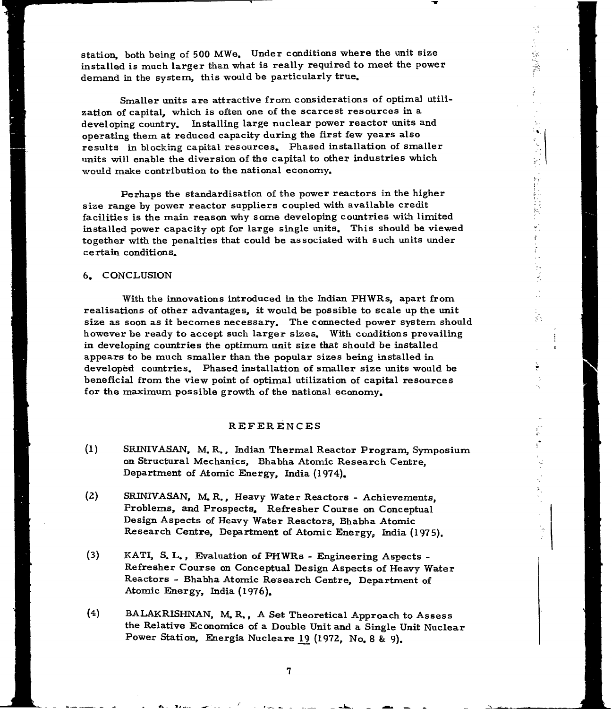station, both being of 500 MWe. Under conditions where the unit size installed is much larger than what is really required to meet the power demand in the system, this would be particularly true.

 $\frac{1}{2} \sum_{i=1}^n \sum_{j=1}^n \frac{1}{i!} \sum_{j=1}^n \frac{1}{i!} \sum_{j=1}^n \frac{1}{i!} \sum_{j=1}^n \frac{1}{i!} \sum_{j=1}^n \frac{1}{i!} \sum_{j=1}^n \frac{1}{i!} \sum_{j=1}^n \frac{1}{i!} \sum_{j=1}^n \frac{1}{i!} \sum_{j=1}^n \frac{1}{i!} \sum_{j=1}^n \frac{1}{i!} \sum_{j=1}^n \frac{1}{i!} \sum_{j=1}^n \frac{1}{i!}$ 

١ŵ,

"大学"

かいしに 反殺し きょくす

t<br>XX

Smaller units are attractive from considerations of optimal utilization of capital, which is often one of the scarcest resources in a developing country. Installing large nuclear power reactor units and operating them at reduced capacity during the first few years also results in blocking capital resources. Phased installation of smaller units will enable the diversion of the capital to other industries which would make contribution to the national economy.

Perhaps the standardisation of the power reactors in the higher size range by power reactor suppliers coupled with available credit facilities is the main reason why some developing countries with limited installed power capacity opt for large single units. This should be viewed together with the penalties that could be associated with such units under certain conditions.

#### 6. CONCLUSION

With the innovations introduced in the Indian PHWRs, apart from realisations of other advantages, it would be possible to scale up the unit size as soon as it becomes necessary. The connected power system should however be ready to accept such larger sizes. With conditions prevailing in developing countries the optimum unit size that should be installed appears to be much smaller than the popular sizes being installed in developed countries. Phased installation of smaller size units would be beneficial from the view point of optimal utilization of capital resources for the maximum possible growth of the national economy.

### REFERENCES

- (1) SRMIVASAN, M. R., Indian Thermal Reactor Program, Symposium on Structural Mechanics, Bhabha Atomic Research Centre, Department of Atomic Energy, India (1974).
- (2) SRINIVASAN, M. R., Heavy Water Reactors Achievements, Problems, and Prospects, Refresher Course on Conceptual Design Aspects of Heavy Water Reactors, Bhabha Atomic Research Centre, Department of Atomic Energy, India (1975).
- (3) KATI, S. L., Evaluation of PHWRs Engineering Aspects Refresher Course on Conceptual Design Aspects of Heavy Water Reactors - Bhabha Atomic Research Centre, Department of Atomic Energy, India (1976).
- (4) BALAKRISHNAN, M. R., A Set Theoretical Approach to Assess the Relative Economics of a Double Unit and a Single Unit Nuclear Power Station, Energia Nucleare *IQ* (1972, No. 8 & 9).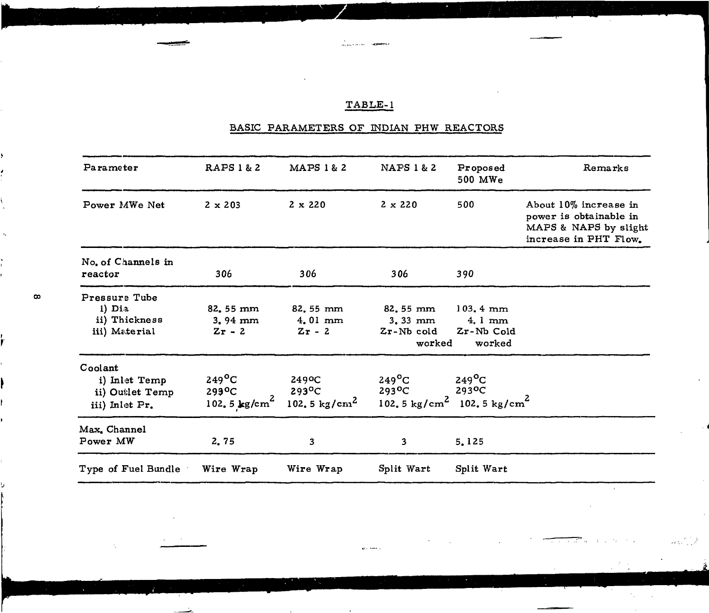# TABLE-1

# BASIC PARAMETERS OF INDIAN PHW REACTORS

| Parameter                                                     | <b>RAPS 1 &amp; 2</b>                                      | MAPS 1 & 2                                         | <b>NAFS 1 &amp; 2</b>                                                                        | Proposed<br>500 MWe                                                      | Remarks                                                                                           |
|---------------------------------------------------------------|------------------------------------------------------------|----------------------------------------------------|----------------------------------------------------------------------------------------------|--------------------------------------------------------------------------|---------------------------------------------------------------------------------------------------|
| Power MWe Net                                                 | $2 \times 203$                                             | $2 \times 220$                                     | $2 \times 220$                                                                               | 500                                                                      | About 10% increase in<br>power is obtainable in<br>MAPS & NAPS by slight<br>increase in PHT Flow. |
| No. of Channels in<br>reactor                                 | 306                                                        | 306                                                | 306                                                                                          | 390                                                                      |                                                                                                   |
| Pressure Tube<br>i) Dia<br>ii) Thickness<br>iii) Material     | 82.55 mm<br>$3.94 \text{ mm}$<br>$Zr - 2$                  | 82, 55 mm<br>$4.01$ mm<br>$Zr - 2$                 | 82.55 mm<br>$3.33$ mm<br>Zr-Nb cold<br>worked                                                | $103, 4 \text{ mm}$<br>$4.1 \text{ mm}$<br>$Zr$ -Nb $\rm Cold$<br>worked |                                                                                                   |
| Coolant<br>i) Inlet Temp<br>ii) Outlet Temp<br>iii) Inlet Pr. | $249^{\circ}C$<br>$299^{\circ}C$<br>102.5 $\text{kg/cm}^2$ | 249°C<br>$293^{\circ}$ C<br>102.5 $\text{kg/cm}^2$ | $249^{\circ}$ C<br>$293$ <sup>O</sup> C<br>102.5 kg/cm <sup>2</sup> 102.5 kg/cm <sup>2</sup> | $249^{\circ}$ C<br>293 <sup>o</sup> C                                    |                                                                                                   |
| Max. Channel<br>Power MW                                      | 2.75                                                       | 3                                                  | 3                                                                                            | 5.125                                                                    |                                                                                                   |
| Type of Fuel Bundle                                           | Wire Wrap                                                  | Wire Wrap                                          | Split Wart                                                                                   | Split Wart                                                               |                                                                                                   |

 $\alpha$  is the set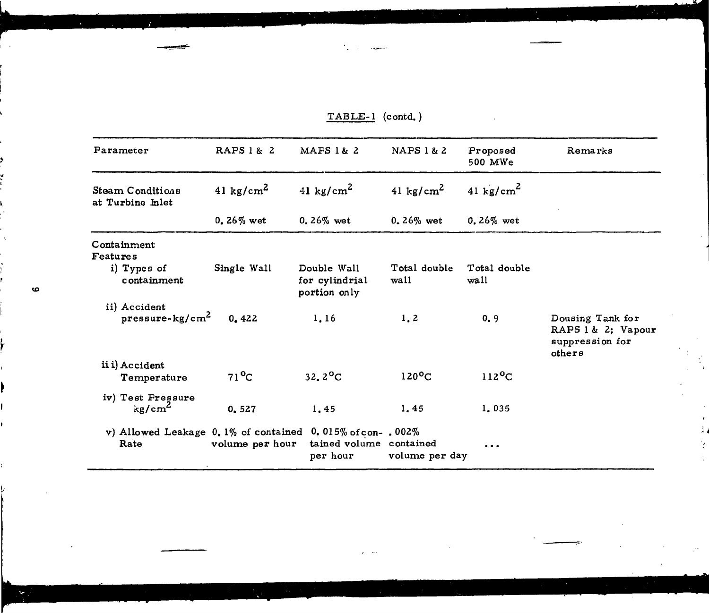| Parameter                                                               | RAPS 1 & 2            | MAPS 1& 2                                     | NAPS 1 & 2            | Proposed<br>500 MWe   | Remarks                                                             |
|-------------------------------------------------------------------------|-----------------------|-----------------------------------------------|-----------------------|-----------------------|---------------------------------------------------------------------|
| Steam Conditions<br>at Turbine Inlet                                    | 41 kg/cm <sup>2</sup> | 41 kg/cm <sup>2</sup>                         | 41 kg/cm <sup>2</sup> | 41 kg/cm <sup>2</sup> |                                                                     |
|                                                                         | $0.26\%$ wet          | $0.26\%$ wet                                  | $0.26\%$ wet          | 0.26% wet             |                                                                     |
| Containment<br>Features                                                 |                       |                                               |                       |                       |                                                                     |
| i) Types of<br>containment                                              | Single Wall           | Double Wall<br>for cylindrial<br>portion only | Total double<br>wall  | Total double<br>wall  |                                                                     |
| ii) Accident<br>$p$ ressure-kg/cm <sup>2</sup>                          | 0.422                 | 1.16                                          | 1.2                   | 0.9                   | Dousing Tank for<br>RAPS 1 & 2; Vapour<br>suppression for<br>others |
| ii i) Accident<br>Temperature                                           | $71^{\circ}$ C        | $32.2^{\circ}C$                               | $120^{\circ}$ C       | $112$ <sup>o</sup> C  |                                                                     |
| iv) Test Pressure<br>kg/cm <sup>2</sup>                                 | 0.527                 | 1,45                                          | 1.45                  | 1.035                 |                                                                     |
| v) Allowed Leakage $0.1\%$ of contained $0.015\%$ of con-. 002%<br>Rate | volume per hour       | tained volume contained<br>per hour           | volume per day        |                       |                                                                     |

 $TABLE-1$  (contd.)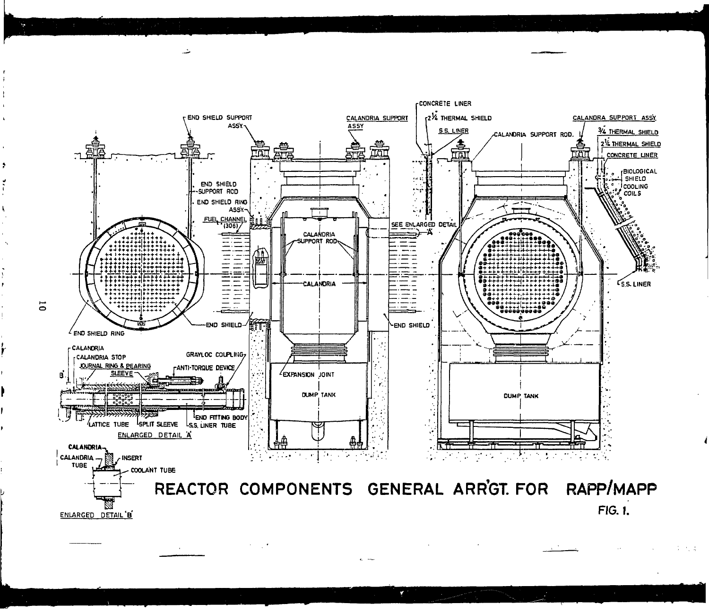

Y

突然

 $\mathcal{F}=\mathcal{F}$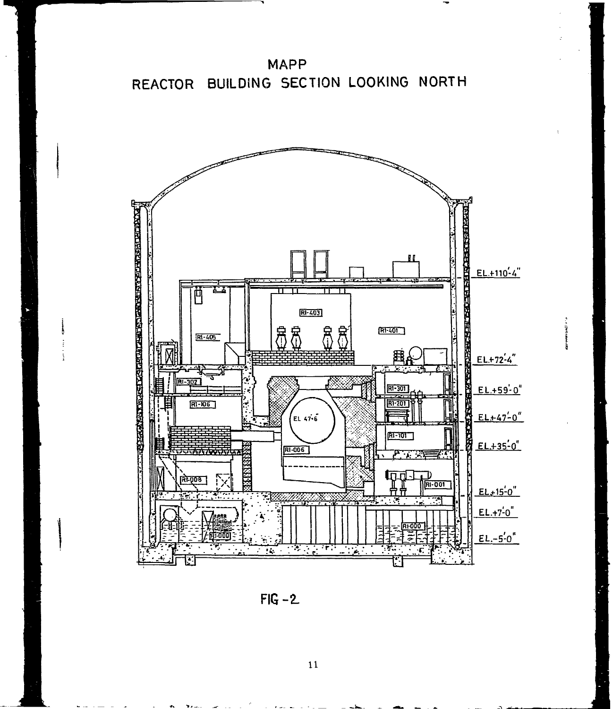

**MAPP** REACTOR BUILDING SECTION LOOKING NORTH

 $FIG - 2$ 

 $11\,$